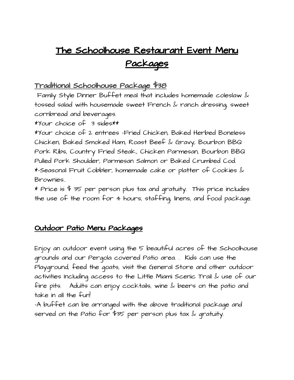# The Schoolhouse Restaurant Event Menu Packages

## Traditional Schoolhouse Package \$38

Family Style Dinner Buffet meal that includes homemade coleslaw & tossed salad with housemade sweet French & ranch dressing, sweet cornbread and beverages.

\*Your choice of 3 sides\*\*

\*Your choice of 2 entrees -Fried Chicken, Baked Herbed Boneless Chicken, Baked Smoked Ham, Roast Beef & Gravy, Bourbon BBQ Pork Ribs, Country Fried Steak., Chicken Parmesan, Bourbon BBQ Pulled Pork Shoulder, Parmesan Salmon or Baked Crumbed Cod. \*-Seasonal Fruit Cobbler, homemade cake or platter of Cookies & Brownies..

\* Price is  $\frac{4}{5}$  35 per person plus tax and gratuity. This price includes the use of the room for 4 hours, staffing, linens, and food package.

### Outdoor Patio Menu Packages

Enjoy an outdoor event using the 5 beautiful acres of the Schoolhouse grounds and our Pergola covered Patio area. . Kids can use the Playground, feed the goats, visit the General Store and other outdoor activities Including access to the Little Miami Scenic Trail & use of our fire pits. Adults can enjoy cocktails, wine & beers on the patio and take in all the fun!

-A buffet can be arranged with the above traditional package and served on the Patio for \$35 per person plus tax & gratuity.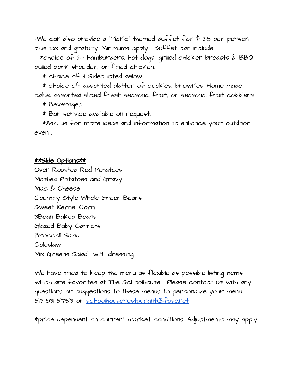-We can also provide a "Picnic" themed buffet for \$ 28 per person plus tax and gratuity. Minimums apply. Buffet can include:

\*choice of 2 : hamburgers, hot dogs, grilled chicken breasts  $\&$  BBQ pulled pork shoulder, or fried chicken.

\* choice of 3 Sides listed below.

\* choice of: assorted platter of cookies, brownies. Home made cake, assorted sliced fresh seasonal fruit, or seasonal fruit cobblers

\* Beverages

\* Bar service available on request.

\*Ask us for more ideas and information to enhance your outdoor event.

#### \*\*Side Options\*\*

Oven Roasted Red Potatoes Mashed Potatoes and Gravy. Mac & Cheese Country Style Whole Green Beans Sweet Kernel Corn 3Bean Baked Beans Glazed Baby Carrots Broccoli Salad Coleslaw Mix Greens Salad with dressing

We have tried to keep the menu as flexible as possible listing items which are favorites at The Schoolhouse. Please contact us with any questions or suggestions to these menus to personalize your menu. 513-831-5753 or [schoolhouserestaurant@fuse.net](mailto:schoolhouserestaurant@fuse.net)

\*price dependent on current market conditions. Adjustments may apply.